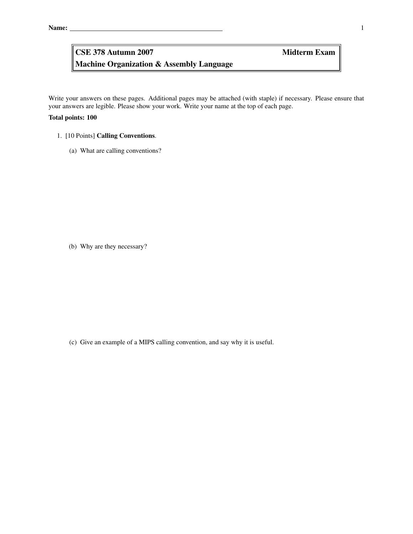# Machine Organization & Assembly Language CSE 378 Autumn 2007 Midterm Exam

Write your answers on these pages. Additional pages may be attached (with staple) if necessary. Please ensure that your answers are legible. Please show your work. Write your name at the top of each page.

### Total points: 100

- 1. [10 Points] Calling Conventions.
	- (a) What are calling conventions?

(b) Why are they necessary?

(c) Give an example of a MIPS calling convention, and say why it is useful.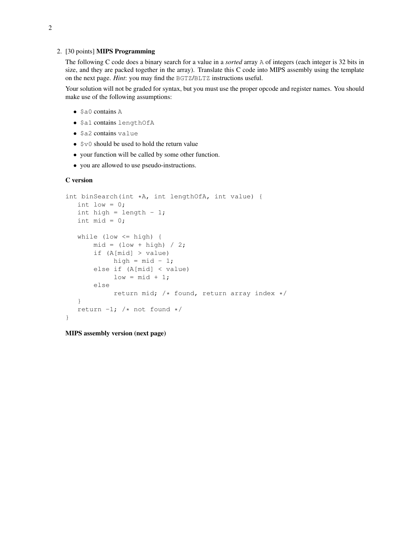### 2. [30 points] MIPS Programming

The following C code does a binary search for a value in a *sorted* array A of integers (each integer is 32 bits in size, and they are packed together in the array). Translate this C code into MIPS assembly using the template on the next page. *Hint*: you may find the BGTZ/BLTZ instructions useful.

Your solution will not be graded for syntax, but you must use the proper opcode and register names. You should make use of the following assumptions:

- \$a0 contains A
- \$a1 contains lengthOfA
- \$a2 contains value
- $$v0$  should be used to hold the return value
- your function will be called by some other function.
- you are allowed to use pseudo-instructions.

#### C version

```
int binSearch(int *A, int lengthOfA, int value) {
  int low = 0;int high = length - 1;int mid = 0;
   while (low \le high) {
       mid = (low + high) / 2;if (A[mid] > value)
           high = mid - 1;
       else if (A[mid] < value)
            low = mid + 1;else
            return mid; /* found, return array index */
   }
   return -1; /* not found */
}
```
MIPS assembly version (next page)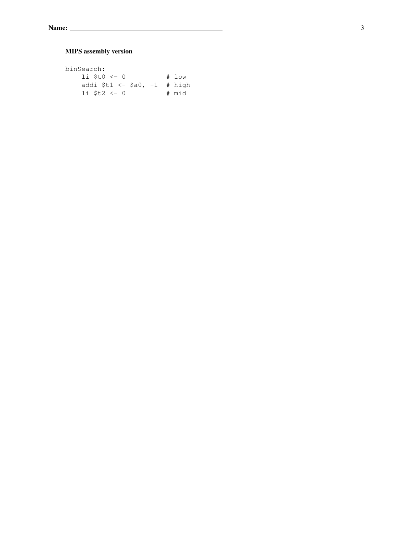## MIPS assembly version

| binSearch:                                                                                                                                                                                                                                                                                                              |       |
|-------------------------------------------------------------------------------------------------------------------------------------------------------------------------------------------------------------------------------------------------------------------------------------------------------------------------|-------|
| $li$ $\frac{1}{2}$ $\frac{1}{2}$ $\frac{1}{2}$ $\frac{1}{2}$ $\frac{1}{2}$ $\frac{1}{2}$ $\frac{1}{2}$ $\frac{1}{2}$ $\frac{1}{2}$ $\frac{1}{2}$ $\frac{1}{2}$ $\frac{1}{2}$ $\frac{1}{2}$ $\frac{1}{2}$ $\frac{1}{2}$ $\frac{1}{2}$ $\frac{1}{2}$ $\frac{1}{2}$ $\frac{1}{2}$ $\frac{1}{2}$ $\frac{1}{2}$ $\frac{1}{2$ | # low |
| addi \$t1 <- \$a0, $-1$ # high                                                                                                                                                                                                                                                                                          |       |
| $1i$ St2 $<-0$                                                                                                                                                                                                                                                                                                          | # mid |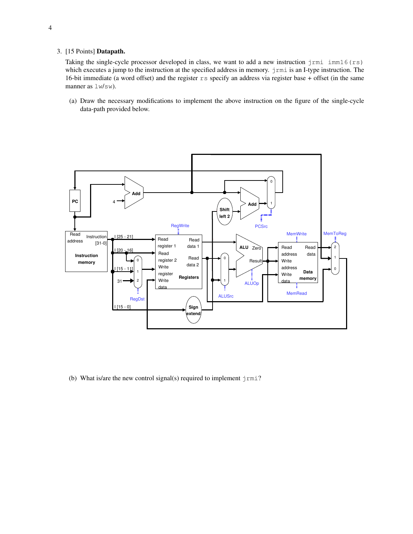### 3. [15 Points] Datapath.

Taking the single-cycle processor developed in class, we want to add a new instruction  $j$ rmi  $im16$  (rs) which executes a jump to the instruction at the specified address in memory.  $j$ rmi is an I-type instruction. The 16-bit immediate (a word offset) and the register  $rs$  specify an address via register base + offset (in the same manner as  $lm/sw$ ).

(a) Draw the necessary modifications to implement the above instruction on the figure of the single-cycle data-path provided below.



(b) What is/are the new control signal(s) required to implement  $j$ rmi?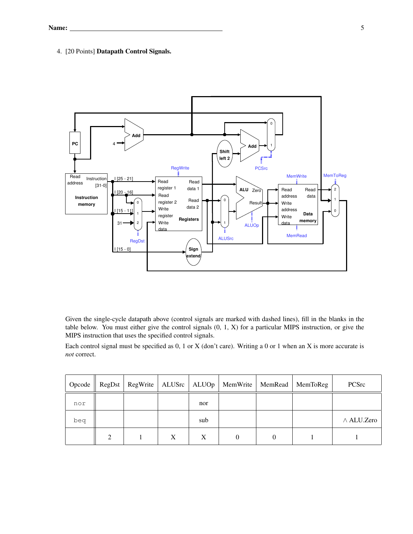### 4. [20 Points] Datapath Control Signals.



Given the single-cycle datapath above (control signals are marked with dashed lines), fill in the blanks in the table below. You must either give the control signals (0, 1, X) for a particular MIPS instruction, or give the MIPS instruction that uses the specified control signals.

Each control signal must be specified as 0, 1 or X (don't care). Writing a 0 or 1 when an X is more accurate is *not* correct.

| Opcode | RegDst        |                  |     | RegWrite   ALUSrc   ALUOp   MemWrite   MemRead | MemToReg | PCSrc            |
|--------|---------------|------------------|-----|------------------------------------------------|----------|------------------|
| nor    |               |                  | nor |                                                |          |                  |
| beq    |               |                  | sub |                                                |          | $\land$ ALU.Zero |
|        | $\mathcal{L}$ | $\boldsymbol{X}$ | X   | $\theta$                                       |          |                  |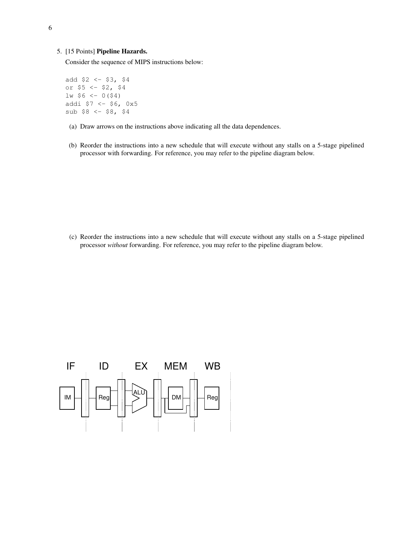### 5. [15 Points] Pipeline Hazards.

Consider the sequence of MIPS instructions below:

add  $$2 < - $3, $4$ or \$5 <- \$2, \$4  $lw$  \$6 <- 0(\$4) addi \$7 <- \$6, 0x5  $sub$   $$8$   $< $8$ ,  $$4$ 

- (a) Draw arrows on the instructions above indicating all the data dependences.
- (b) Reorder the instructions into a new schedule that will execute without any stalls on a 5-stage pipelined processor with forwarding. For reference, you may refer to the pipeline diagram below.

(c) Reorder the instructions into a new schedule that will execute without any stalls on a 5-stage pipelined processor *without* forwarding. For reference, you may refer to the pipeline diagram below.